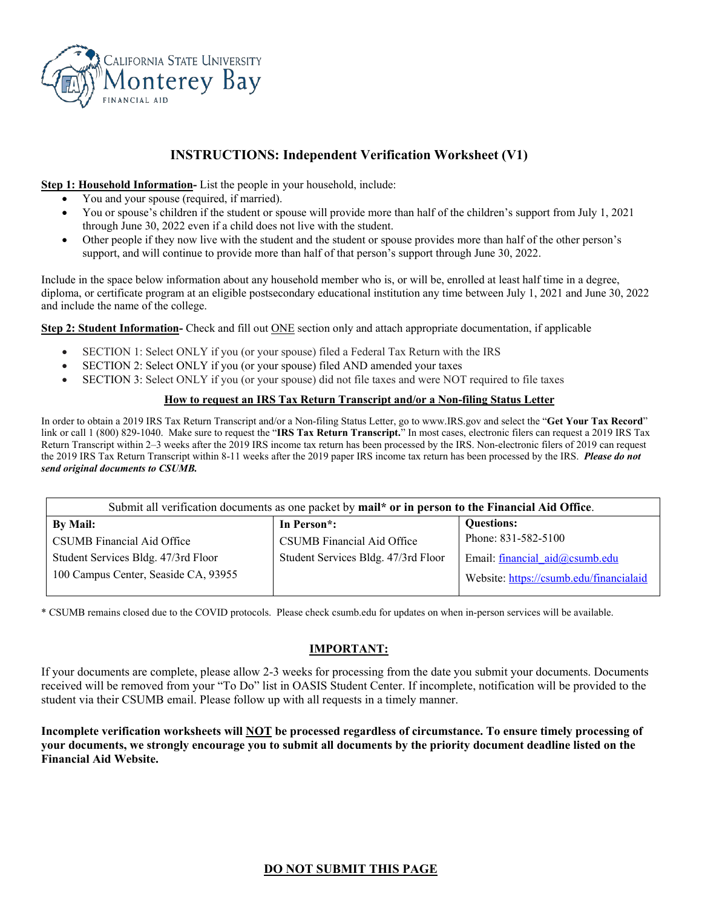

## **INSTRUCTIONS: Independent Verification Worksheet (V1)**

#### **Step 1: Household Information-** List the people in your household, include:

- You and your spouse (required, if married).
- You or spouse's children if the student or spouse will provide more than half of the children's support from July 1, 2021 through June 30, 2022 even if a child does not live with the student.
- Other people if they now live with the student and the student or spouse provides more than half of the other person's support, and will continue to provide more than half of that person's support through June 30, 2022.

Include in the space below information about any household member who is, or will be, enrolled at least half time in a degree, diploma, or certificate program at an eligible postsecondary educational institution any time between July 1, 2021 and June 30, 2022 and include the name of the college.

**Step 2: Student Information-** Check and fill out <u>ONE</u> section only and attach appropriate documentation, if applicable

- SECTION 1: Select ONLY if you (or your spouse) filed a Federal Tax Return with the IRS
- SECTION 2: Select ONLY if you (or your spouse) filed AND amended your taxes
- SECTION 3: Select ONLY if you (or your spouse) did not file taxes and were NOT required to file taxes

#### **How to request an IRS Tax Return Transcript and/or a Non-filing Status Letter**

In order to obtain a 2019 IRS Tax Return Transcript and/or a Non-filing Status Letter, go to www.IRS.gov and select the "**Get Your Tax Record**" link or call 1 (800) 829-1040. Make sure to request the "**IRS Tax Return Transcript.**" In most cases, electronic filers can request a 2019 IRS Tax Return Transcript within 2–3 weeks after the 2019 IRS income tax return has been processed by the IRS. Non-electronic filers of 2019 can request the 2019 IRS Tax Return Transcript within 8-11 weeks after the 2019 paper IRS income tax return has been processed by the IRS. *Please do not send original documents to CSUMB.*

| Submit all verification documents as one packet by mail* or in person to the Financial Aid Office. |                                     |                                         |  |  |
|----------------------------------------------------------------------------------------------------|-------------------------------------|-----------------------------------------|--|--|
| By Mail:                                                                                           | In Person <sup>*</sup> :            | <b>Questions:</b>                       |  |  |
| CSUMB Financial Aid Office                                                                         | CSUMB Financial Aid Office          | Phone: 831-582-5100                     |  |  |
| Student Services Bldg. 47/3rd Floor                                                                | Student Services Bldg. 47/3rd Floor | Email: financial aid@csumb.edu          |  |  |
| 100 Campus Center, Seaside CA, 93955                                                               |                                     | Website: https://csumb.edu/financialaid |  |  |

\* CSUMB remains closed due to the COVID protocols. Please check csumb.edu for updates on when in-person services will be available.

## **IMPORTANT:**

If your documents are complete, please allow 2-3 weeks for processing from the date you submit your documents. Documents received will be removed from your "To Do" list in OASIS Student Center. If incomplete, notification will be provided to the student via their CSUMB email. Please follow up with all requests in a timely manner.

**Incomplete verification worksheets will NOT be processed regardless of circumstance. To ensure timely processing of your documents, we strongly encourage you to submit all documents by the priority document deadline listed on the Financial Aid Website.**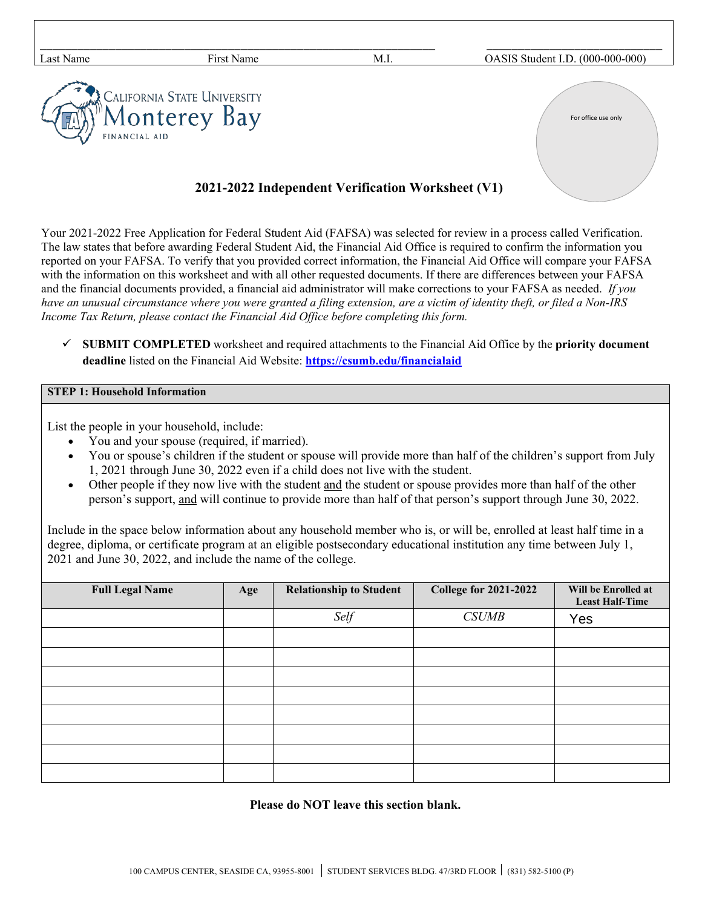| Last Name     | First Name                                 | M.I.                                              | OASIS Student I.D. (000-000-000) |
|---------------|--------------------------------------------|---------------------------------------------------|----------------------------------|
| FINANCIAL AID | <b>EXPRESE CALIFORNIA STATE UNIVERSITY</b> |                                                   | For office use only              |
|               |                                            | 2021-2022 Independent Verification Worksheet (V1) |                                  |

Your 2021-2022 Free Application for Federal Student Aid (FAFSA) was selected for review in a process called Verification. The law states that before awarding Federal Student Aid, the Financial Aid Office is required to confirm the information you reported on your FAFSA. To verify that you provided correct information, the Financial Aid Office will compare your FAFSA with the information on this worksheet and with all other requested documents. If there are differences between your FAFSA and the financial documents provided, a financial aid administrator will make corrections to your FAFSA as needed. *If you have an unusual circumstance where you were granted a filing extension, are a victim of identity theft, or filed a Non-IRS Income Tax Return, please contact the Financial Aid Office before completing this form.*

 **SUBMIT COMPLETED** worksheet and required attachments to the Financial Aid Office by the **priority document deadline** listed on the Financial Aid Website: **<https://csumb.edu/financialaid>**

## **STEP 1: Household Information**

List the people in your household, include:

- You and your spouse (required, if married).
- You or spouse's children if the student or spouse will provide more than half of the children's support from July 1, 2021 through June 30, 2022 even if a child does not live with the student.
- Other people if they now live with the student and the student or spouse provides more than half of the other person's support, and will continue to provide more than half of that person's support through June 30, 2022.

Include in the space below information about any household member who is, or will be, enrolled at least half time in a degree, diploma, or certificate program at an eligible postsecondary educational institution any time between July 1, 2021 and June 30, 2022, and include the name of the college.

| <b>Full Legal Name</b> | Age | <b>Relationship to Student</b> | <b>College for 2021-2022</b> | Will be Enrolled at<br><b>Least Half-Time</b> |
|------------------------|-----|--------------------------------|------------------------------|-----------------------------------------------|
|                        |     | Self                           | <b>CSUMB</b>                 | Yes                                           |
|                        |     |                                |                              |                                               |
|                        |     |                                |                              |                                               |
|                        |     |                                |                              |                                               |
|                        |     |                                |                              |                                               |
|                        |     |                                |                              |                                               |
|                        |     |                                |                              |                                               |
|                        |     |                                |                              |                                               |
|                        |     |                                |                              |                                               |

### **Please do NOT leave this section blank.**